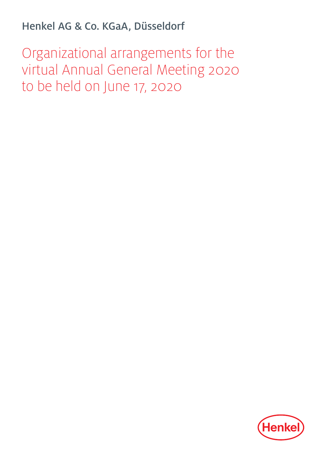Henkel AG & Co. KGaA, Düsseldorf

Organizational arrangements for the virtual Annual General Meeting 2020 to be held on June 17, 2020

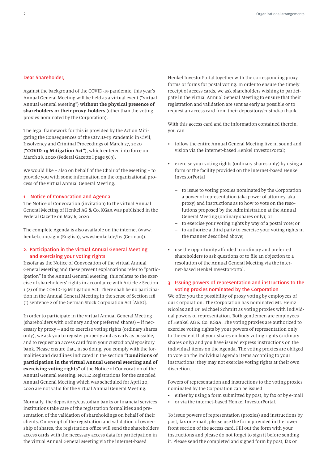#### Dear Shareholder,

Against the background of the COVID-19 pandemic, this year's Annual General Meeting will be held as a virtual event ("virtual Annual General Meeting") **without the physical presence of shareholders or their proxy-holders** (other than the voting proxies nominated by the Corporation).

The legal framework for this is provided by the Act on Mitigating the Consequences of the COVID-19 Pandemic in Civil, Insolvency and Criminal Proceedings of March 27, 2020 (**"COVID-19 Mitigation Act"**), which entered into force on March 28, 2020 (Federal Gazette I page 569).

We would like – also on behalf of the Chair of the Meeting – to provide you with some information on the organizational process of the virtual Annual General Meeting.

### 1. Notice of Convocation and Agenda

The Notice of Convocation (invitation) to the virtual Annual General Meeting of Henkel AG & Co. KGaA was published in the Federal Gazette on May 6, 2020.

The complete Agenda is also available on the internet (www. henkel.com/agm (English); www.henkel.de/hv (German)).

## 2. Participation in the virtual Annual General Meeting and exercising your voting rights

Insofar as the Notice of Convocation of the virtual Annual General Meeting and these present explanations refer to "participation" in the Annual General Meeting, this relates to the exercise of shareholders' rights in accordance with Article 2 Section 1 (2) of the COVID-19 Mitigation Act. There shall be no participation in the Annual General Meeting in the sense of Section 118 (1) sentence 2 of the German Stock Corporation Act [AktG].

In order to participate in the virtual Annual General Meeting (shareholders with ordinary and/or preferred shares) – if necessary by proxy – and to exercise voting rights (ordinary shares only), we ask you to register properly and as early as possible, and to request an access card from your custodian/depository bank. Please ensure that, in so doing, you comply with the formalities and deadlines indicated in the section **"Conditions of participation in the virtual Annual General Meeting and of exercising voting rights"** of the Notice of Convocation of the Annual General Meeting. NOTE: Registrations for the canceled Annual General Meeting which was scheduled for April 20, 2020 are not valid for the virtual Annual General Meeting.

Normally, the depository/custodian banks or financial services institutions take care of the registration formalities and presentation of the validation of shareholdings on behalf of their clients. On receipt of the registration and validation of ownership of shares, the registration office will send the shareholders access cards with the necessary access data for participation in the virtual Annual General Meeting via the internet-based

Henkel InvestorPortal together with the corresponding proxy forms or forms for postal voting. In order to ensure the timely receipt of access cards, we ask shareholders wishing to participate in the virtual Annual General Meeting to ensure that their registration and validation are sent as early as possible or to request an access card from their depository/custodian bank.

With this access card and the information contained therein, you can

- follow the entire Annual General Meeting live in sound and vision via the internet-based Henkel InvestorPortal;
- exercise your voting rights (ordinary shares only) by using a form or the facility provided on the internet-based Henkel InvestorPortal
	- to issue to voting proxies nominated by the Corporation a power of representation (aka power of attorney, aka proxy) and instructions as to how to vote on the resolutions proposed by the Administration at the Annual General Meeting (ordinary shares only); or
	- to exercise your voting rights by way of a postal vote; or
	- to authorize a third party to exercise your voting rights in the manner described above;
- use the opportunity afforded to ordinary and preferred shareholders to ask questions or to file an objection to a resolution of the Annual General Meeting via the internet-based Henkel InvestorPortal.

### 3. Issuing powers of representation and instructions to the voting proxies nominated by the Corporation

We offer you the possibility of proxy voting by employees of our Corporation. The Corporation has nominated Mr. Heinz Nicolas and Dr. Michael Schmitt as voting proxies with individual powers of representation. Both gentlemen are employees of Henkel AG & Co. KGaA. The voting proxies are authorized to exercise voting rights by your powers of representation only to the extent that your shares embody voting rights (ordinary shares only) and you have issued express instructions on the individual items on the Agenda. The voting proxies are obliged to vote on the individual Agenda items according to your instructions; they may not exercise voting rights at their own discretion.

Powers of representation and instructions to the voting proxies nominated by the Corporation can be issued

- either by using a form submitted by post, by fax or by e-mail
- or via the internet-based Henkel InvestorPortal.

To issue powers of representation (proxies) and instructions by post, fax or e-mail, please use the form provided in the lower front section of the access card. Fill out the form with your instructions and please do not forget to sign it before sending it. Please send the completed and signed form by post, fax or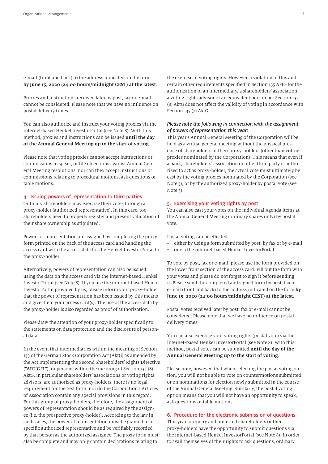e-mail (front and back) to the address indicated on the form **by June 15, 2020 (24:00 hours/midnight CEST) at the latest**.

Proxies and instructions received later by post, fax or e-mail cannot be considered. Please note that we have no influence on postal delivery times.

You can also authorize and instruct your voting proxies via the internet-based Henkel InvestorPortal (see Note 8). With this method, proxies and instructions can be issued **until the day of the Annual General Meeting up to the start of voting**.

Please note that voting proxies cannot accept instructions or commissions to speak, or file objections against Annual General Meeting resolutions, nor can they accept instructions or commissions relating to procedural motions, ask questions or table motions.

## 4. Issuing powers of representation to third parties

Ordinary shareholders may exercise their votes through a proxy-holder (authorized representative). In this case, too, shareholders need to properly register and present validation of their share ownership as stipulated.

Powers of representation are assigned by completing the proxy form printed on the back of the access card and handing the access card with the access data for the Henkel InvestorPortal to the proxy-holder.

Alternatively, powers of representation can also be issued using the data on the access card via the internet-based Henkel InvestorPortal (see Note 8). If you use the internet-based Henkel InvestorPortal provided by us, please inform your proxy-holder that the power of representation has been issued by this means and give them your access card(s). The use of the access data by the proxy-holder is also regarded as proof of authorization.

Please draw the attention of your proxy-holder specifically to the statements on data protection and the disclosure of personal data.

In the event that intermediaries within the meaning of Section 135 of the German Stock Corporation Act [AktG] as amended by the Act Implementing the Second Shareholders' Rights Directive (**"ARUG II"**), or persons within the meaning of Section 135 (8) AktG, in particular shareholders' associations or voting rights advisors, are authorized as proxy-holders, there is no legal requirement for the text form, nor do the Corporation's Articles of Association contain any special provisions in this regard. For this group of proxy-holders, therefore, the assignment of powers of representation should be as required by the assignee (i.e. the prospective proxy-holder). According to the law in such cases, the power of representation must be granted to a specific authorized representative and be verifiably recorded by that person as the authorized assignee. The proxy form must also be complete and may only contain declarations relating to

the exercise of voting rights. However, a violation of this and certain other requirements specified in Section 135 AktG for the authorization of an intermediary, a shareholders' association, a voting rights advisor or an equivalent person per Section 135 (8) AktG does not affect the validity of voting in accordance with Section 135 (7) AktG.

## *Please note the following in connection with the assignment of powers of representation this year:*

This year's Annual General Meeting of the Corporation will be held as a virtual general meeting without the physical presence of shareholders or their proxy-holders (other than voting proxies nominated by the Corporation). This means that even if a bank, shareholders' association or other third party is authorized to act as proxy-holder, the actual vote must ultimately be cast by the voting proxies nominated by the Corporation (see Note 3), or by the authorized proxy-holder by postal vote (see Note 5).

## 5. Exercising your voting rights by post

You can also cast your votes on the individual Agenda items at the Annual General Meeting (ordinary shares only) by postal vote.

Postal voting can be effected

- either by using a form submitted by post, by fax or by e-mail
- or via the internet-based Henkel InvestorPortal.

To vote by post, fax or e-mail, please use the form provided on the lower front section of the access card. Fill out the form with your votes and please do not forget to sign it before sending it. Please send the completed and signed form by post, fax or e-mail (front and back) to the address indicated on the form **by June 15, 2020 (24:00 hours/midnight CEST) at the latest**.

Postal votes received later by post, fax or e-mail cannot be considered. Please note that we have no influence on postal delivery times.

You can also exercise your voting rights (postal vote) via the internet-based Henkel InvestorPortal (see Note 8). With this method, postal votes can be submitted **until the day of the Annual General Meeting up to the start of voting**.

Please note, however, that when selecting the postal voting option, you will not be able to vote on countermotions submitted or on nominations for election newly submitted in the course of the Annual General Meeting. Similarly, the postal voting option means that you will not have an opportunity to speak, ask questions or table motions.

## 6. Procedure for the electronic submission of questions

This year, ordinary and preferred shareholders or their proxy-holders have the opportunity to submit questions via the internet-based Henkel InvestorPortal (see Note 8). In order to avail themselves of their rights to ask questions, ordinary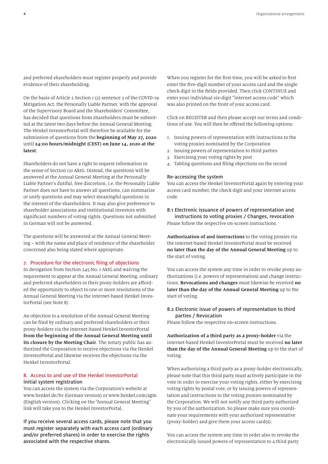and preferred shareholders must register properly and provide evidence of their shareholding.

On the basis of Article 2 Section 1 (2) sentence 2 of the COVID-19 Mitigation Act, the Personally Liable Partner, with the approval of the Supervisory Board and the Shareholders' Committee, has decided that questions from shareholders must be submitted at the latest two days before the Annual General Meeting. The Henkel InvestorPortal will therefore be available for the submission of questions from the **beginning of May 27, 2020** until **24:00 hours/midnight (CEST) on June 14, 2020 at the latest**.

Shareholders do not have a right to request information in the sense of Section 131 AktG. Instead, the questions will be answered at the Annual General Meeting at the Personally Liable Partner's dutiful, free discretion, i.e. the Personally Liable Partner does not have to answer all questions, can summarize or unify questions and may select meaningful questions in the interest of the shareholders. It may also give preference to shareholder associations and institutional investors with significant numbers of voting rights. Questions not submitted in German will not be answered.

The questions will be answered at the Annual General Meeting – with the name and place of residence of the shareholder concerned also being stated where appropriate.

### 7. Procedure for the electronic filing of objections

In derogation from Section 245 No. 1 AktG and waiving the requirement to appear at the Annual General Meeting, ordinary and preferred shareholders or their proxy-holders are afforded the opportunity to object to one or more resolutions of the Annual General Meeting via the internet-based Henkel InvestorPortal (see Note 8).

An objection to a resolution of the Annual General Meeting can be filed by ordinary and preferred shareholders or their proxy-holders via the internet-based Henkel InvestorPortal **from the beginning of the Annual General Meeting until its closure by the Meeting Chair**. The notary public has authorized the Corporation to receive objections via the Henkel InvestorPortal and likewise receives the objections via the Henkel InvestorPortal.

#### 8. Access to and use of the Henkel InvestorPortal Initial system registration

You can access the system via the Corporation's website at www.henkel.de/hv (German version) or www.henkel.com/agm (English version). Clicking on the "Annual General Meeting" link will take you to the Henkel InvestorPortal.

If you receive several access cards, please note that you must register separately with each access card (ordinary and/or preferred shares) in order to exercise the rights associated with the respective shares.

When you register for the first time, you will be asked to first enter the five-digit number of your access card and the single check digit in the fields provided. Then click CONTINUE and enter your individual six-digit "internet access code" which was also printed on the front of your access card.

Click on REGISTER and then please accept our terms and conditions of use. You will then be offered the following options:

- 1. Issuing powers of representation with instructions to the voting proxies nominated by the Corporation
- 2. Issuing powers of representation to third parties
- 3. Exercising your voting rights by post
- 4. Tabling questions and filing objections on the record

#### Re-accessing the system

You can access the Henkel InvestorPortal again by entering your access card number, the check digit and your internet access code.

# 8.1 Electronic issuance of powers of representation and instructions to voting proxies / Changes, revocation

Please follow the respective on-screen instructions.

**Authorization of and instructions** to the voting proxies via the internet-based Henkel InvestorPortal must be received **no later than the day of the Annual General Meeting** up to the start of voting.

You can access the system any time in order to revoke proxy authorizations (i.e. powers of representation) and change instructions. **Revocations and changes** must likewise be received **no later than the day of the Annual General Meeting** up to the start of voting.

## 8.2 Electronic issue of powers of representation to third parties / Revocation

Please follow the respective on-screen instructions.

**Authorization of a third party as a proxy-holder** via the internet-based Henkel InvestorPortal must be received **no later than the day of the Annual General Meeting** up to the start of voting.

When authorizing a third party as a proxy-holder electronically, please note that this third party must actively participate in the vote in order to exercise your voting rights, either by exercising voting rights by postal vote, or by issuing powers of representation and instructions to the voting proxies nominated by the Corporation. We will not notify any third party authorized by you of the authorization. So please make sure you coordinate your requirements with your authorized representative (proxy-holder) and give them your access card(s).

You can access the system any time in order also to revoke the electronically issued powers of representation to a third party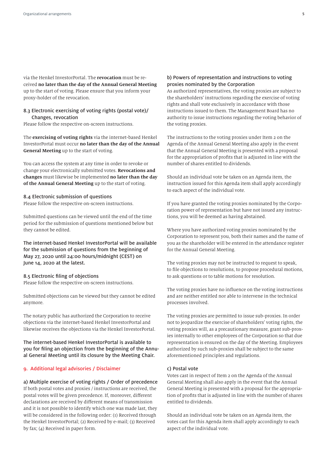via the Henkel InvestorPortal. The **revocation** must be received **no later than the day of the Annual General Meeting** up to the start of voting. Please ensure that you inform your proxy-holder of the revocation.

### 8.3 Electronic exercising of voting rights (postal vote)/ Changes, revocation

Please follow the respective on-screen instructions.

The **exercising of voting rights** via the internet-based Henkel InvestorPortal must occur **no later than the day of the Annual General Meeting** up to the start of voting.

You can access the system at any time in order to revoke or change your electronically submitted votes. **Revocations and changes** must likewise be implemented **no later than the day of the Annual General Meeting** up to the start of voting.

#### 8.4 Electronic submission of questions

Please follow the respective on-screen instructions.

Submitted questions can be viewed until the end of the time period for the submission of questions mentioned below but they cannot be edited.

The internet-based Henkel InvestorPortal will be available for the submission of questions from the beginning of May 27, 2020 until 24:00 hours/midnight (CEST) on June 14, 2020 at the latest.

#### 8.5 Electronic filing of objections

Please follow the respective on-screen instructions.

Submitted objections can be viewed but they cannot be edited anymore.

The notary public has authorized the Corporation to receive objections via the internet-based Henkel InvestorPortal and likewise receives the objections via the Henkel InvestorPortal.

The internet-based Henkel InvestorPortal is available to you for filing an objection from the beginning of the Annual General Meeting until its closure by the Meeting Chair.

#### 9. Additional legal advisories / Disclaimer

a) Multiple exercise of voting rights / Order of precedence If both postal votes and proxies / instructions are received, the postal votes will be given precedence. If, moreover, different declarations are received by different means of transmission and it is not possible to identify which one was made last, they will be considered in the following order: (1) Received through the Henkel InvestorPortal; (2) Received by e-mail; (3) Received by fax; (4) Received in paper form.

## b) Powers of representation and instructions to voting proxies nominated by the Corporation

As authorized representatives, the voting proxies are subject to the shareholders' instructions regarding the exercise of voting rights and shall vote exclusively in accordance with those instructions issued to them. The Management Board has no authority to issue instructions regarding the voting behavior of the voting proxies.

The instructions to the voting proxies under Item 2 on the Agenda of the Annual General Meeting also apply in the event that the Annual General Meeting is presented with a proposal for the appropriation of profits that is adjusted in line with the number of shares entitled to dividends.

Should an individual vote be taken on an Agenda item, the instruction issued for this Agenda item shall apply accordingly to each aspect of the individual vote.

If you have granted the voting proxies nominated by the Corporation power of representation but have not issued any instructions, you will be deemed as having abstained.

Where you have authorized voting proxies nominated by the Corporation to represent you, both their names and the name of you as the shareholder will be entered in the attendance register for the Annual General Meeting.

The voting proxies may not be instructed to request to speak, to file objections to resolutions, to propose procedural motions, to ask questions or to table motions for resolution.

The voting proxies have no influence on the voting instructions and are neither entitled nor able to intervene in the technical processes involved.

The voting proxies are permitted to issue sub-proxies. In order not to jeopardize the exercise of shareholders' voting rights, the voting proxies will, as a precautionary measure, grant sub-proxies internally to other employees of the Corporation so that due representation is ensured on the day of the Meeting. Employees authorized by such sub-proxies shall be subject to the same aforementioned principles and regulations.

#### c) Postal vote

Votes cast in respect of Item 2 on the Agenda of the Annual General Meeting shall also apply in the event that the Annual General Meeting is presented with a proposal for the appropriation of profits that is adjusted in line with the number of shares entitled to dividends.

Should an individual vote be taken on an Agenda item, the votes cast for this Agenda item shall apply accordingly to each aspect of the individual vote.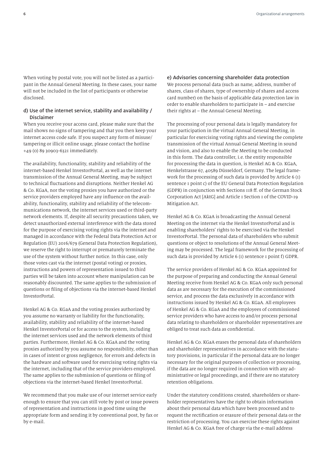When voting by postal vote, you will not be listed as a participant in the Annual General Meeting. In these cases, your name will not be included in the list of participants or otherwise disclosed.

## d) Use of the internet service, stability and availability / Disclaimer

When you receive your access card, please make sure that the mail shows no signs of tampering and that you then keep your internet access code safe. If you suspect any form of misuse/ tampering or illicit online usage, please contact the hotline +49 (0) 89 30903-6321 immediately.

The availability, functionality, stability and reliability of the internet-based Henkel InvestorPortal, as well as the internet transmission of the Annual General Meeting, may be subject to technical fluctuations and disruptions. Neither Henkel AG & Co. KGaA, nor the voting proxies you have authorized or the service providers employed have any influence on the availability, functionality, stability and reliability of the telecommunications network, the internet services used or third-party network elements. If, despite all security precautions taken, we detect unauthorized external interference with the data stored for the purpose of exercising voting rights via the internet and managed in accordance with the Federal Data Protection Act or Regulation (EU) 2016/679 (General Data Protection Regulation), we reserve the right to interrupt or prematurely terminate the use of the system without further notice. In this case, only those votes cast via the internet (postal voting) or proxies, instructions and powers of representation issued to third parties will be taken into account where manipulation can be reasonably discounted. The same applies to the submission of questions or filing of objections via the internet-based Henkel InvestorPortal.

Henkel AG & Co. KGaA and the voting proxies authorized by you assume no warranty or liability for the functionality, availability, stability and reliability of the internet-based Henkel InvestorPortal or for access to the system, including the internet services used and the network elements of third parties. Furthermore, Henkel AG & Co. KGaA and the voting proxies authorized by you assume no responsibility, other than in cases of intent or gross negligence, for errors and defects in the hardware and software used for exercising voting rights via the internet, including that of the service providers employed. The same applies to the submission of questions or filing of objections via the internet-based Henkel InvestorPortal.

We recommend that you make use of our internet service early enough to ensure that you can still vote by post or issue powers of representation and instructions in good time using the appropriate form and sending it by conventional post, by fax or by e-mail.

e) Advisories concerning shareholder data protection We process personal data (such as name, address, number of shares, class of shares, type of ownership of shares and access card number) on the basis of applicable data protection law in order to enable shareholders to participate in – and exercise their rights at – the Annual General Meeting.

The processing of your personal data is legally mandatory for your participation in the virtual Annual General Meeting, in particular for exercising voting rights and viewing the complete transmission of the virtual Annual General Meeting in sound and vision, and also to enable the Meeting to be conducted in this form. The data controller, i.e. the entity responsible for processing the data in question, is Henkel AG & Co. KGaA, Henkelstrasse 67, 40589 Düsseldorf, Germany. The legal framework for the processing of such data is provided by Article 6 (1) sentence 1 point c) of the EU General Data Protection Regulation (GDPR) in conjunction with Sections 118 ff. of the German Stock Corporation Act [AktG] and Article 1 Section 1 of the COVID-19 Mitigation Act.

Henkel AG & Co. KGaA is broadcasting the Annual General Meeting on the internet via the Henkel InvestorPortal and is enabling shareholders' rights to be exercised via the Henkel InvestorPortal. The personal data of shareholders who submit questions or object to resolutions of the Annual General Meeting may be processed. The legal framework for the processing of such data is provided by Article 6 (1) sentence 1 point f) GDPR.

The service providers of Henkel AG & Co. KGaA appointed for the purpose of preparing and conducting the Annual General Meeting receive from Henkel AG & Co. KGaA only such personal data as are necessary for the execution of the commissioned service, and process the data exclusively in accordance with instructions issued by Henkel AG & Co. KGaA. All employees of Henkel AG & Co. KGaA and the employees of commissioned service providers who have access to and/or process personal data relating to shareholders or shareholder representatives are obliged to treat such data as confidential.

Henkel AG & Co. KGaA erases the personal data of shareholders and shareholder representatives in accordance with the statutory provisions, in particular if the personal data are no longer necessary for the original purposes of collection or processing, if the data are no longer required in connection with any administrative or legal proceedings, and if there are no statutory retention obligations.

Under the statutory conditions created, shareholders or shareholder representatives have the right to obtain information about their personal data which have been processed and to request the rectification or erasure of their personal data or the restriction of processing. You can exercise these rights against Henkel AG & Co. KGaA free of charge via the e-mail address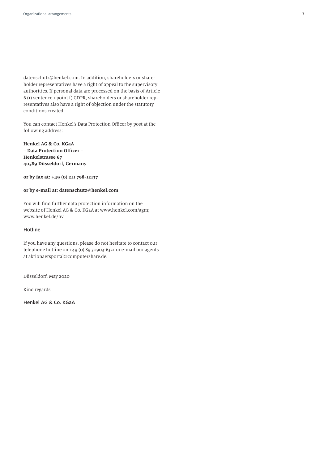datenschutz@henkel.com. In addition, shareholders or shareholder representatives have a right of appeal to the supervisory authorities. If personal data are processed on the basis of Article 6 (1) sentence 1 point f) GDPR, shareholders or shareholder representatives also have a right of objection under the statutory conditions created.

You can contact Henkel's Data Protection Officer by post at the following address:

**Henkel AG & Co. KGaA – Data Protection Officer – Henkelstrasse 67 40589 Düsseldorf, Germany** 

**or by fax at: +49 (0) 211 798-12137** 

## **or by e-mail at: datenschutz@henkel.com**

You will find further data protection information on the website of Henkel AG & Co. KGaA at www.henkel.com/agm; www.henkel.de/hv.

## Hotline

If you have any questions, please do not hesitate to contact our telephone hotline on +49 (0) 89 30903-6321 or e-mail our agents at aktionaersportal@computershare.de.

Düsseldorf, May 2020

Kind regards,

Henkel AG & Co. KGaA